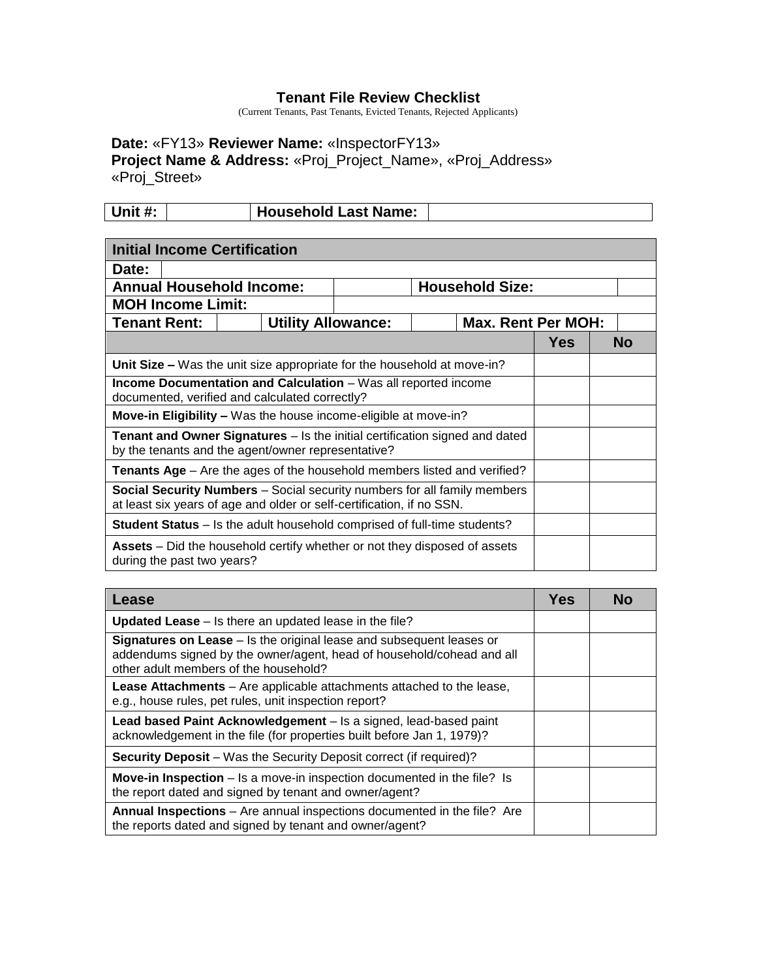## **Tenant File Review Checklist**

(Current Tenants, Past Tenants, Evicted Tenants, Rejected Applicants)

## **Date:** «FY13» **Reviewer Name:** «InspectorFY13» **Project Name & Address:** «Proj\_Project\_Name», «Proj\_Address» «Proj\_Street»

| Unit #: | Household Last Name: |  |
|---------|----------------------|--|

| <b>Initial Income Certification</b>                                                                                                                      |                                                                                                                  |  |  |                        |                           |  |    |
|----------------------------------------------------------------------------------------------------------------------------------------------------------|------------------------------------------------------------------------------------------------------------------|--|--|------------------------|---------------------------|--|----|
| Date:                                                                                                                                                    |                                                                                                                  |  |  |                        |                           |  |    |
| <b>Annual Household Income:</b>                                                                                                                          |                                                                                                                  |  |  | <b>Household Size:</b> |                           |  |    |
| <b>MOH Income Limit:</b>                                                                                                                                 |                                                                                                                  |  |  |                        |                           |  |    |
| <b>Tenant Rent:</b>                                                                                                                                      | <b>Utility Allowance:</b>                                                                                        |  |  |                        | <b>Max. Rent Per MOH:</b> |  |    |
|                                                                                                                                                          |                                                                                                                  |  |  |                        | <b>Yes</b>                |  | No |
|                                                                                                                                                          | Unit Size – Was the unit size appropriate for the household at move-in?                                          |  |  |                        |                           |  |    |
|                                                                                                                                                          | Income Documentation and Calculation - Was all reported income<br>documented, verified and calculated correctly? |  |  |                        |                           |  |    |
|                                                                                                                                                          | Move-in Eligibility - Was the house income-eligible at move-in?                                                  |  |  |                        |                           |  |    |
| <b>Tenant and Owner Signatures</b> – Is the initial certification signed and dated<br>by the tenants and the agent/owner representative?                 |                                                                                                                  |  |  |                        |                           |  |    |
| <b>Tenants Age</b> – Are the ages of the household members listed and verified?                                                                          |                                                                                                                  |  |  |                        |                           |  |    |
| <b>Social Security Numbers</b> – Social security numbers for all family members<br>at least six years of age and older or self-certification, if no SSN. |                                                                                                                  |  |  |                        |                           |  |    |
| <b>Student Status</b> – Is the adult household comprised of full-time students?                                                                          |                                                                                                                  |  |  |                        |                           |  |    |
| during the past two years?                                                                                                                               | <b>Assets</b> – Did the household certify whether or not they disposed of assets                                 |  |  |                        |                           |  |    |

| Lease                                                                                                                                                                                  | <b>Yes</b> | <b>No</b> |
|----------------------------------------------------------------------------------------------------------------------------------------------------------------------------------------|------------|-----------|
| <b>Updated Lease</b> – Is there an updated lease in the file?                                                                                                                          |            |           |
| Signatures on Lease - Is the original lease and subsequent leases or<br>addendums signed by the owner/agent, head of household/cohead and all<br>other adult members of the household? |            |           |
| Lease Attachments - Are applicable attachments attached to the lease,<br>e.g., house rules, pet rules, unit inspection report?                                                         |            |           |
| Lead based Paint Acknowledgement - Is a signed, lead-based paint<br>acknowledgement in the file (for properties built before Jan 1, 1979)?                                             |            |           |
| <b>Security Deposit</b> – Was the Security Deposit correct (if required)?                                                                                                              |            |           |
| Move-in Inspection – Is a move-in inspection documented in the file? Is<br>the report dated and signed by tenant and owner/agent?                                                      |            |           |
| Annual Inspections - Are annual inspections documented in the file? Are<br>the reports dated and signed by tenant and owner/agent?                                                     |            |           |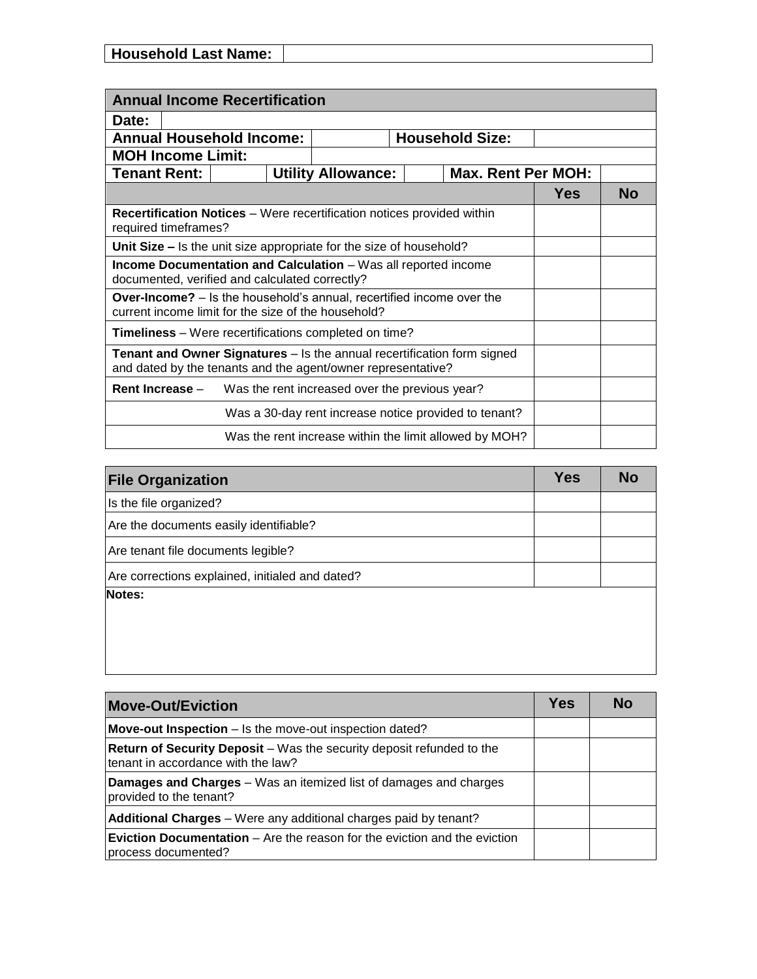| <b>Household Last Name:</b> |  |
|-----------------------------|--|

| <b>Annual Income Recertification</b>                                                                                                    |  |                           |  |                           |            |           |  |
|-----------------------------------------------------------------------------------------------------------------------------------------|--|---------------------------|--|---------------------------|------------|-----------|--|
| Date:                                                                                                                                   |  |                           |  |                           |            |           |  |
| <b>Annual Household Income:</b><br><b>Household Size:</b>                                                                               |  |                           |  |                           |            |           |  |
| <b>MOH Income Limit:</b>                                                                                                                |  |                           |  |                           |            |           |  |
| <b>Tenant Rent:</b>                                                                                                                     |  | <b>Utility Allowance:</b> |  | <b>Max. Rent Per MOH:</b> |            |           |  |
|                                                                                                                                         |  |                           |  |                           | <b>Yes</b> | <b>No</b> |  |
| <b>Recertification Notices</b> – Were recertification notices provided within<br>required timeframes?                                   |  |                           |  |                           |            |           |  |
| Unit Size - Is the unit size appropriate for the size of household?                                                                     |  |                           |  |                           |            |           |  |
| Income Documentation and Calculation - Was all reported income<br>documented, verified and calculated correctly?                        |  |                           |  |                           |            |           |  |
| <b>Over-Income?</b> – Is the household's annual, recertified income over the<br>current income limit for the size of the household?     |  |                           |  |                           |            |           |  |
| <b>Timeliness</b> – Were recertifications completed on time?                                                                            |  |                           |  |                           |            |           |  |
| Tenant and Owner Signatures - Is the annual recertification form signed<br>and dated by the tenants and the agent/owner representative? |  |                           |  |                           |            |           |  |
| Rent Increase -<br>Was the rent increased over the previous year?                                                                       |  |                           |  |                           |            |           |  |
| Was a 30-day rent increase notice provided to tenant?                                                                                   |  |                           |  |                           |            |           |  |
| Was the rent increase within the limit allowed by MOH?                                                                                  |  |                           |  |                           |            |           |  |

| <b>File Organization</b>                        | <b>Yes</b> | <b>No</b> |
|-------------------------------------------------|------------|-----------|
| Is the file organized?                          |            |           |
| Are the documents easily identifiable?          |            |           |
| Are tenant file documents legible?              |            |           |
| Are corrections explained, initialed and dated? |            |           |
| Notes:                                          |            |           |
|                                                 |            |           |
|                                                 |            |           |

| <b>Move-Out/Eviction</b>                                                                                           | Yes | Nο |
|--------------------------------------------------------------------------------------------------------------------|-----|----|
| <b>Move-out Inspection</b> – Is the move-out inspection dated?                                                     |     |    |
| <b>Return of Security Deposit</b> – Was the security deposit refunded to the<br>tenant in accordance with the law? |     |    |
| <b>Damages and Charges</b> - Was an itemized list of damages and charges<br>provided to the tenant?                |     |    |
| Additional Charges - Were any additional charges paid by tenant?                                                   |     |    |
| <b>Eviction Documentation</b> – Are the reason for the eviction and the eviction<br>process documented?            |     |    |